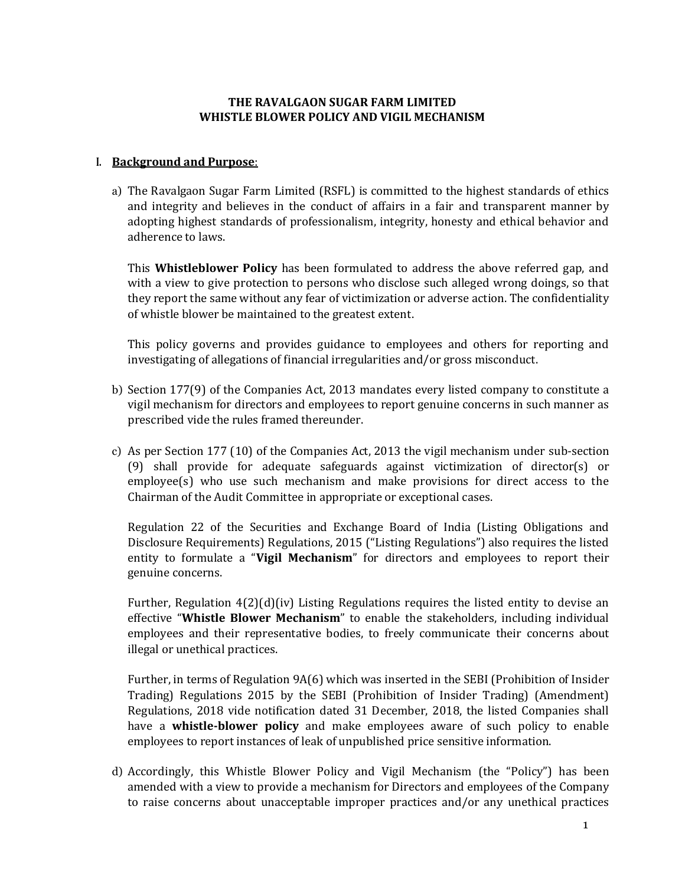# **THE RAVALGAON SUGAR FARM LIMITED WHISTLE BLOWER POLICY AND VIGIL MECHANISM**

#### **I. Background and Purpose**:

a) The Ravalgaon Sugar Farm Limited (RSFL) is committed to the highest standards of ethics and integrity and believes in the conduct of affairs in a fair and transparent manner by adopting highest standards of professionalism, integrity, honesty and ethical behavior and adherence to laws.

This **Whistleblower Policy** has been formulated to address the above referred gap, and with a view to give protection to persons who disclose such alleged wrong doings, so that they report the same without any fear of victimization or adverse action. The confidentiality of whistle blower be maintained to the greatest extent.

This policy governs and provides guidance to employees and others for reporting and investigating of allegations of financial irregularities and/or gross misconduct.

- b) Section 177(9) of the Companies Act, 2013 mandates every listed company to constitute a vigil mechanism for directors and employees to report genuine concerns in such manner as prescribed vide the rules framed thereunder.
- c) As per Section 177 (10) of the Companies Act, 2013 the vigil mechanism under sub-section (9) shall provide for adequate safeguards against victimization of director(s) or employee(s) who use such mechanism and make provisions for direct access to the Chairman of the Audit Committee in appropriate or exceptional cases.

Regulation 22 of the Securities and Exchange Board of India (Listing Obligations and Disclosure Requirements) Regulations, 2015 ("Listing Regulations") also requires the listed entity to formulate a "**Vigil Mechanism**" for directors and employees to report their genuine concerns.

Further, Regulation  $4(2)(d)(iv)$  Listing Regulations requires the listed entity to devise an effective "**Whistle Blower Mechanism**" to enable the stakeholders, including individual employees and their representative bodies, to freely communicate their concerns about illegal or unethical practices.

Further, in terms of Regulation 9A(6) which was inserted in the SEBI (Prohibition of Insider Trading) Regulations 2015 by the SEBI (Prohibition of Insider Trading) (Amendment) Regulations, 2018 vide notification dated 31 December, 2018, the listed Companies shall have a **whistle-blower policy** and make employees aware of such policy to enable employees to report instances of leak of unpublished price sensitive information.

d) Accordingly, this Whistle Blower Policy and Vigil Mechanism (the "Policy") has been amended with a view to provide a mechanism for Directors and employees of the Company to raise concerns about unacceptable improper practices and/or any unethical practices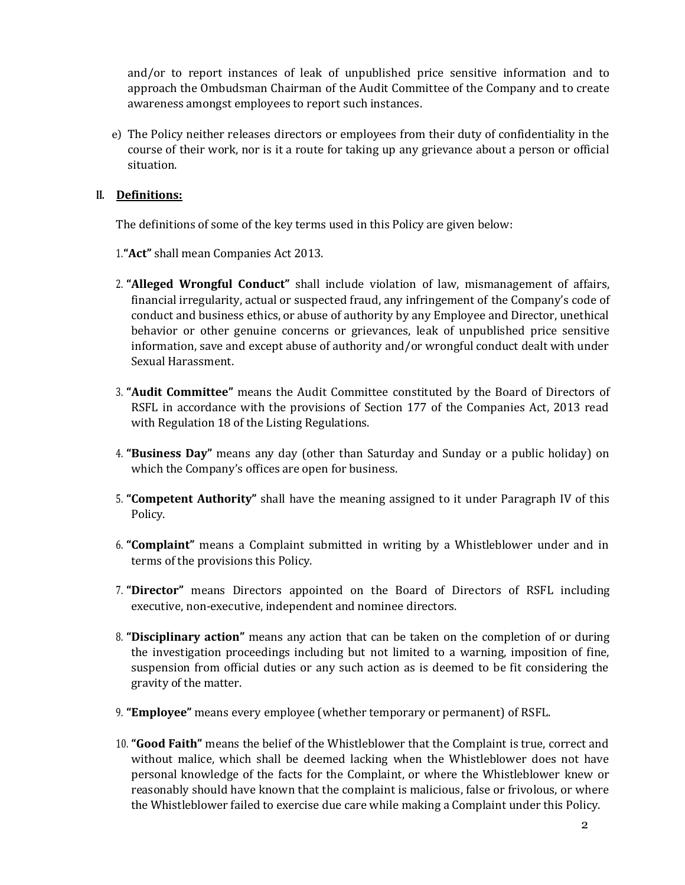and/or to report instances of leak of unpublished price sensitive information and to approach the Ombudsman Chairman of the Audit Committee of the Company and to create awareness amongst employees to report such instances.

e) The Policy neither releases directors or employees from their duty of confidentiality in the course of their work, nor is it a route for taking up any grievance about a person or official situation.

#### **II. Definitions:**

The definitions of some of the key terms used in this Policy are given below:

- 1.**"Act"** shall mean Companies Act 2013.
- 2. **"Alleged Wrongful Conduct"** shall include violation of law, mismanagement of affairs, financial irregularity, actual or suspected fraud, any infringement of the Company's code of conduct and business ethics, or abuse of authority by any Employee and Director, unethical behavior or other genuine concerns or grievances, leak of unpublished price sensitive information, save and except abuse of authority and/or wrongful conduct dealt with under Sexual Harassment.
- 3. **"Audit Committee"** means the Audit Committee constituted by the Board of Directors of RSFL in accordance with the provisions of Section 177 of the Companies Act, 2013 read with Regulation 18 of the Listing Regulations.
- 4. **"Business Day"** means any day (other than Saturday and Sunday or a public holiday) on which the Company's offices are open for business.
- 5. **"Competent Authority"** shall have the meaning assigned to it under Paragraph IV of this Policy.
- 6. **"Complaint"** means a Complaint submitted in writing by a Whistleblower under and in terms of the provisions this Policy.
- 7. **"Director"** means Directors appointed on the Board of Directors of RSFL including executive, non-executive, independent and nominee directors.
- 8. **"Disciplinary action"** means any action that can be taken on the completion of or during the investigation proceedings including but not limited to a warning, imposition of fine, suspension from official duties or any such action as is deemed to be fit considering the gravity of the matter.
- 9. **"Employee"** means every employee (whether temporary or permanent) of RSFL.
- 10. **"Good Faith"** means the belief of the Whistleblower that the Complaint is true, correct and without malice, which shall be deemed lacking when the Whistleblower does not have personal knowledge of the facts for the Complaint, or where the Whistleblower knew or reasonably should have known that the complaint is malicious, false or frivolous, or where the Whistleblower failed to exercise due care while making a Complaint under this Policy.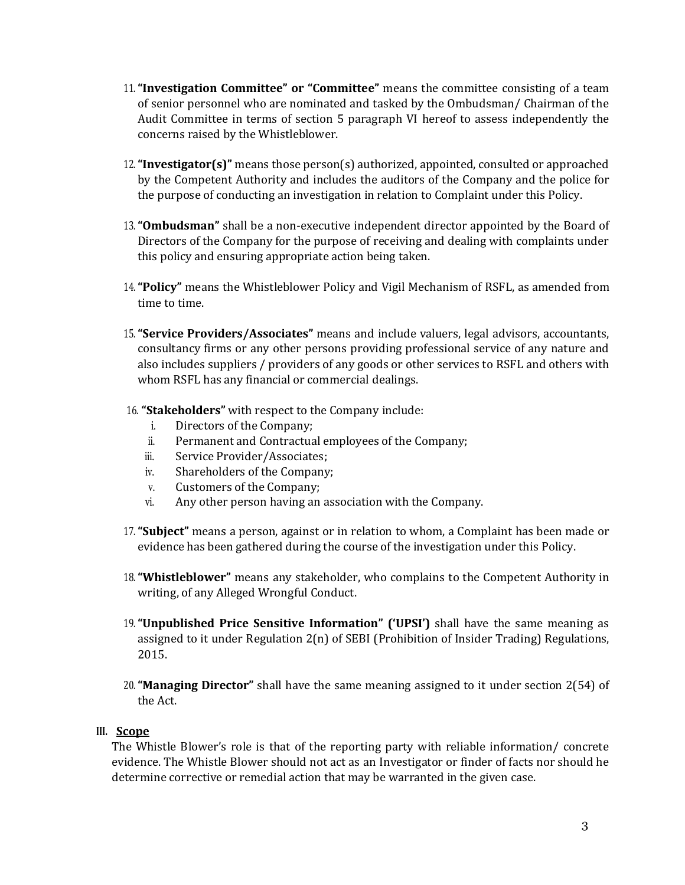- 11.**"Investigation Committee" or "Committee"** means the committee consisting of a team of senior personnel who are nominated and tasked by the Ombudsman/ Chairman of the Audit Committee in terms of section 5 paragraph VI hereof to assess independently the concerns raised by the Whistleblower.
- 12.**"Investigator(s)"** means those person(s) authorized, appointed, consulted or approached by the Competent Authority and includes the auditors of the Company and the police for the purpose of conducting an investigation in relation to Complaint under this Policy.
- 13.**"Ombudsman"** shall be a non-executive independent director appointed by the Board of Directors of the Company for the purpose of receiving and dealing with complaints under this policy and ensuring appropriate action being taken.
- 14.**"Policy"** means the Whistleblower Policy and Vigil Mechanism of RSFL, as amended from time to time.
- 15.**"Service Providers/Associates"** means and include valuers, legal advisors, accountants, consultancy firms or any other persons providing professional service of any nature and also includes suppliers / providers of any goods or other services to RSFL and others with whom RSFL has any financial or commercial dealings.
- 16. **"Stakeholders"** with respect to the Company include:
	- i. Directors of the Company;
	- ii. Permanent and Contractual employees of the Company;
	- iii. Service Provider/Associates;
	- iv. Shareholders of the Company;
	- v. Customers of the Company;
	- vi. Any other person having an association with the Company.
- 17.**"Subject"** means a person, against or in relation to whom, a Complaint has been made or evidence has been gathered during the course of the investigation under this Policy.
- 18.**"Whistleblower"** means any stakeholder, who complains to the Competent Authority in writing, of any Alleged Wrongful Conduct.
- 19.**"Unpublished Price Sensitive Information" ('UPSI')** shall have the same meaning as assigned to it under Regulation 2(n) of SEBI (Prohibition of Insider Trading) Regulations, 2015.
- 20.**"Managing Director"** shall have the same meaning assigned to it under section 2(54) of the Act.

#### **III. Scope**

The Whistle Blower's role is that of the reporting party with reliable information/ concrete evidence. The Whistle Blower should not act as an Investigator or finder of facts nor should he determine corrective or remedial action that may be warranted in the given case.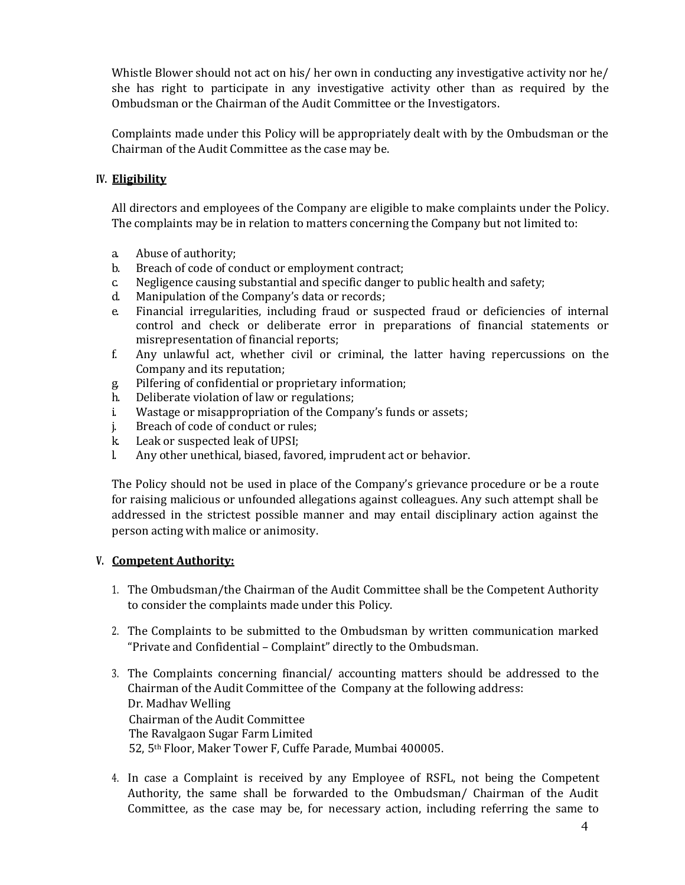Whistle Blower should not act on his/ her own in conducting any investigative activity nor he/ she has right to participate in any investigative activity other than as required by the Ombudsman or the Chairman of the Audit Committee or the Investigators.

Complaints made under this Policy will be appropriately dealt with by the Ombudsman or the Chairman of the Audit Committee as the case may be.

# **IV. Eligibility**

All directors and employees of the Company are eligible to make complaints under the Policy. The complaints may be in relation to matters concerning the Company but not limited to:

- a. Abuse of authority;
- b. Breach of code of conduct or employment contract;
- c. Negligence causing substantial and specific danger to public health and safety;
- d. Manipulation of the Company's data or records;
- e. Financial irregularities, including fraud or suspected fraud or deficiencies of internal control and check or deliberate error in preparations of financial statements or misrepresentation of financial reports;
- f. Any unlawful act, whether civil or criminal, the latter having repercussions on the Company and its reputation;
- g. Pilfering of confidential or proprietary information;
- h. Deliberate violation of law or regulations;
- i. Wastage or misappropriation of the Company's funds or assets;
- j. Breach of code of conduct or rules;
- k. Leak or suspected leak of UPSI;
- l. Any other unethical, biased, favored, imprudent act or behavior.

The Policy should not be used in place of the Company's grievance procedure or be a route for raising malicious or unfounded allegations against colleagues. Any such attempt shall be addressed in the strictest possible manner and may entail disciplinary action against the person acting with malice or animosity.

# **V. Competent Authority:**

- 1. The Ombudsman/the Chairman of the Audit Committee shall be the Competent Authority to consider the complaints made under this Policy.
- 2. The Complaints to be submitted to the Ombudsman by written communication marked "Private and Confidential – Complaint" directly to the Ombudsman.
- 3. The Complaints concerning financial/ accounting matters should be addressed to the Chairman of the Audit Committee of the Company at the following address: Dr. Madhav Welling Chairman of the Audit Committee The Ravalgaon Sugar Farm Limited 52, 5th Floor, Maker Tower F, Cuffe Parade, Mumbai 400005.
- 4. In case a Complaint is received by any Employee of RSFL, not being the Competent Authority, the same shall be forwarded to the Ombudsman/ Chairman of the Audit Committee, as the case may be, for necessary action, including referring the same to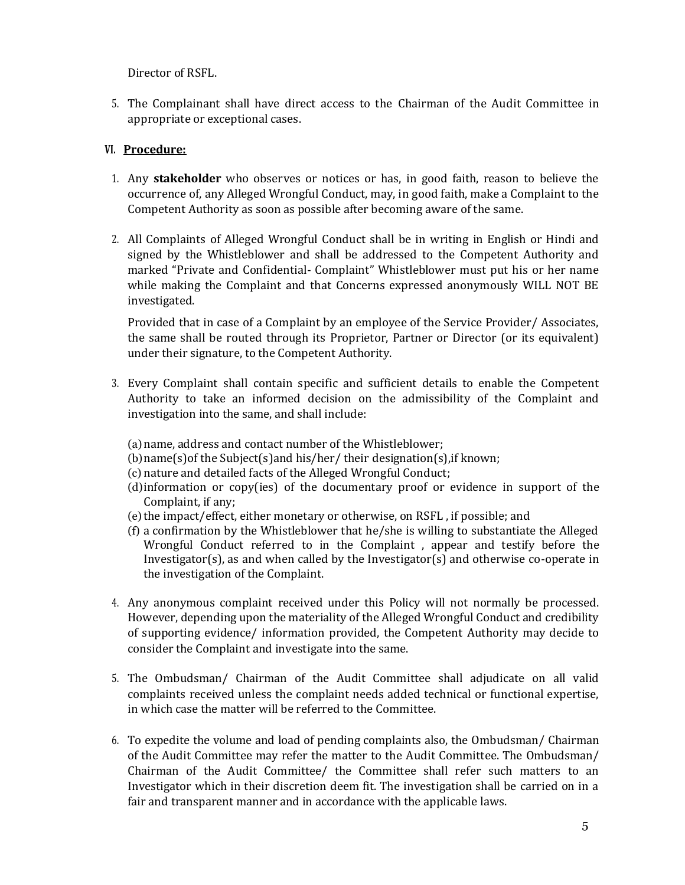Director of RSFL.

5. The Complainant shall have direct access to the Chairman of the Audit Committee in appropriate or exceptional cases.

# **VI. Procedure:**

- 1. Any **stakeholder** who observes or notices or has, in good faith, reason to believe the occurrence of, any Alleged Wrongful Conduct, may, in good faith, make a Complaint to the Competent Authority as soon as possible after becoming aware of the same.
- 2. All Complaints of Alleged Wrongful Conduct shall be in writing in English or Hindi and signed by the Whistleblower and shall be addressed to the Competent Authority and marked "Private and Confidential- Complaint" Whistleblower must put his or her name while making the Complaint and that Concerns expressed anonymously WILL NOT BE investigated.

Provided that in case of a Complaint by an employee of the Service Provider/ Associates, the same shall be routed through its Proprietor, Partner or Director (or its equivalent) under their signature, to the Competent Authority.

- 3. Every Complaint shall contain specific and sufficient details to enable the Competent Authority to take an informed decision on the admissibility of the Complaint and investigation into the same, and shall include:
	- (a)name, address and contact number of the Whistleblower;
	- (b)name(s)of the Subject(s)and his/her/ their designation(s),if known;
	- (c) nature and detailed facts of the Alleged Wrongful Conduct;
	- (d)information or copy(ies) of the documentary proof or evidence in support of the Complaint, if any;
	- (e)the impact/effect, either monetary or otherwise, on RSFL , if possible; and
	- (f) a confirmation by the Whistleblower that he/she is willing to substantiate the Alleged Wrongful Conduct referred to in the Complaint , appear and testify before the Investigator(s), as and when called by the Investigator(s) and otherwise co-operate in the investigation of the Complaint.
- 4. Any anonymous complaint received under this Policy will not normally be processed. However, depending upon the materiality of the Alleged Wrongful Conduct and credibility of supporting evidence/ information provided, the Competent Authority may decide to consider the Complaint and investigate into the same.
- 5. The Ombudsman/ Chairman of the Audit Committee shall adjudicate on all valid complaints received unless the complaint needs added technical or functional expertise, in which case the matter will be referred to the Committee.
- 6. To expedite the volume and load of pending complaints also, the Ombudsman/ Chairman of the Audit Committee may refer the matter to the Audit Committee. The Ombudsman/ Chairman of the Audit Committee/ the Committee shall refer such matters to an Investigator which in their discretion deem fit. The investigation shall be carried on in a fair and transparent manner and in accordance with the applicable laws.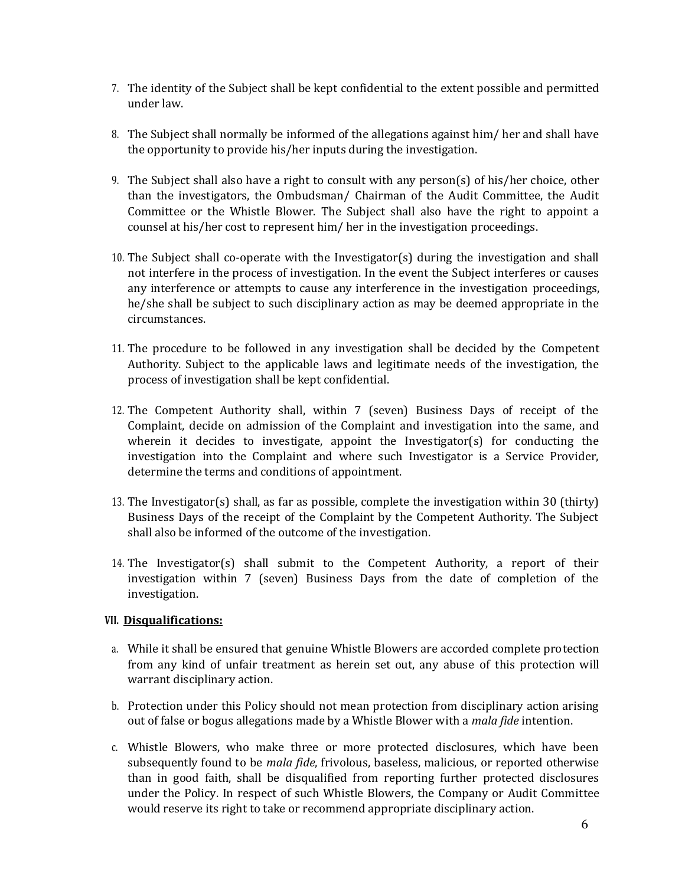- 7. The identity of the Subject shall be kept confidential to the extent possible and permitted under law.
- 8. The Subject shall normally be informed of the allegations against him/ her and shall have the opportunity to provide his/her inputs during the investigation.
- 9. The Subject shall also have a right to consult with any person(s) of his/her choice, other than the investigators, the Ombudsman/ Chairman of the Audit Committee, the Audit Committee or the Whistle Blower. The Subject shall also have the right to appoint a counsel at his/her cost to represent him/ her in the investigation proceedings.
- 10. The Subject shall co-operate with the Investigator(s) during the investigation and shall not interfere in the process of investigation. In the event the Subject interferes or causes any interference or attempts to cause any interference in the investigation proceedings, he/she shall be subject to such disciplinary action as may be deemed appropriate in the circumstances.
- 11. The procedure to be followed in any investigation shall be decided by the Competent Authority. Subject to the applicable laws and legitimate needs of the investigation, the process of investigation shall be kept confidential.
- 12. The Competent Authority shall, within 7 (seven) Business Days of receipt of the Complaint, decide on admission of the Complaint and investigation into the same, and wherein it decides to investigate, appoint the Investigator(s) for conducting the investigation into the Complaint and where such Investigator is a Service Provider, determine the terms and conditions of appointment.
- 13. The Investigator(s) shall, as far as possible, complete the investigation within 30 (thirty) Business Days of the receipt of the Complaint by the Competent Authority. The Subject shall also be informed of the outcome of the investigation.
- 14. The Investigator(s) shall submit to the Competent Authority, a report of their investigation within 7 (seven) Business Days from the date of completion of the investigation.

# **VII. Disqualifications:**

- a. While it shall be ensured that genuine Whistle Blowers are accorded complete protection from any kind of unfair treatment as herein set out, any abuse of this protection will warrant disciplinary action.
- b. Protection under this Policy should not mean protection from disciplinary action arising out of false or bogus allegations made by a Whistle Blower with a *mala fide* intention.
- c. Whistle Blowers, who make three or more protected disclosures, which have been subsequently found to be *mala fide*, frivolous, baseless, malicious, or reported otherwise than in good faith, shall be disqualified from reporting further protected disclosures under the Policy. In respect of such Whistle Blowers, the Company or Audit Committee would reserve its right to take or recommend appropriate disciplinary action.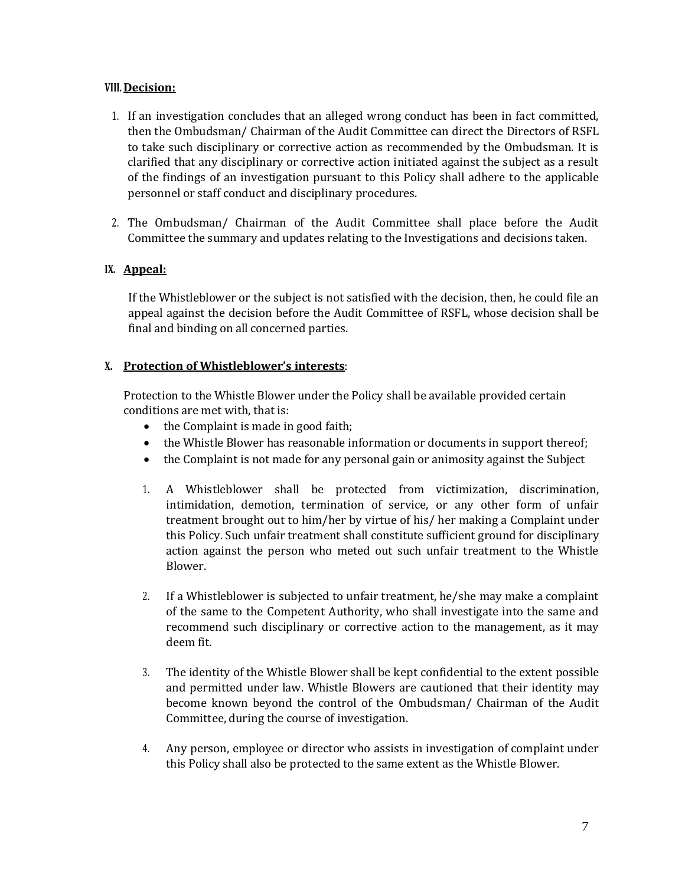#### **VIII. Decision:**

- 1. If an investigation concludes that an alleged wrong conduct has been in fact committed, then the Ombudsman/ Chairman of the Audit Committee can direct the Directors of RSFL to take such disciplinary or corrective action as recommended by the Ombudsman. It is clarified that any disciplinary or corrective action initiated against the subject as a result of the findings of an investigation pursuant to this Policy shall adhere to the applicable personnel or staff conduct and disciplinary procedures.
- 2. The Ombudsman/ Chairman of the Audit Committee shall place before the Audit Committee the summary and updates relating to the Investigations and decisions taken.

# **IX. Appeal:**

If the Whistleblower or the subject is not satisfied with the decision, then, he could file an appeal against the decision before the Audit Committee of RSFL, whose decision shall be final and binding on all concerned parties.

# **X. Protection of Whistleblower's interests**:

Protection to the Whistle Blower under the Policy shall be available provided certain conditions are met with, that is:

- the Complaint is made in good faith;
- the Whistle Blower has reasonable information or documents in support thereof;
- the Complaint is not made for any personal gain or animosity against the Subject
- 1. A Whistleblower shall be protected from victimization, discrimination, intimidation, demotion, termination of service, or any other form of unfair treatment brought out to him/her by virtue of his/ her making a Complaint under this Policy. Such unfair treatment shall constitute sufficient ground for disciplinary action against the person who meted out such unfair treatment to the Whistle Blower.
- 2. If a Whistleblower is subjected to unfair treatment, he/she may make a complaint of the same to the Competent Authority, who shall investigate into the same and recommend such disciplinary or corrective action to the management, as it may deem fit.
- 3. The identity of the Whistle Blower shall be kept confidential to the extent possible and permitted under law. Whistle Blowers are cautioned that their identity may become known beyond the control of the Ombudsman/ Chairman of the Audit Committee, during the course of investigation.
- 4. Any person, employee or director who assists in investigation of complaint under this Policy shall also be protected to the same extent as the Whistle Blower.